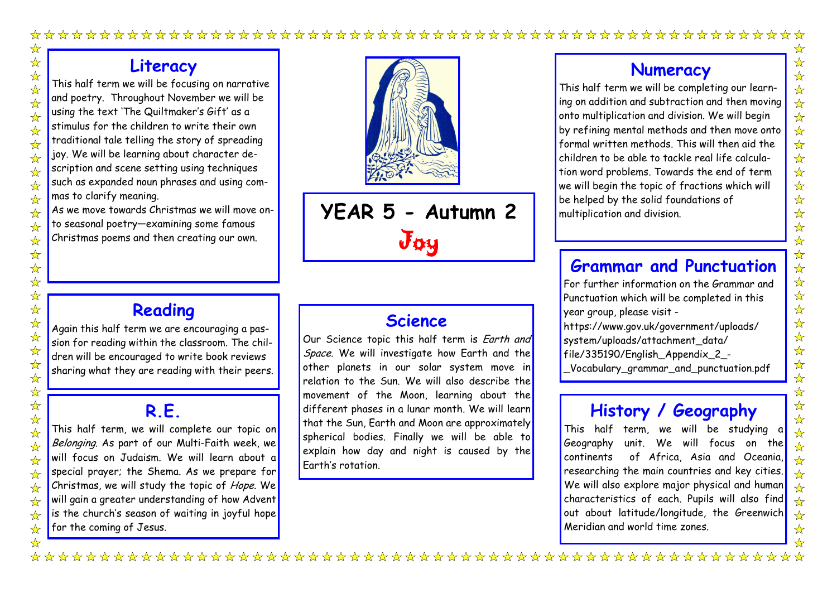## **Literacy**

This half term we will be focusing on narrative and poetry. Throughout November we will be using the text 'The Quiltmaker's Gift' as a stimulus for the children to write their own traditional tale telling the story of spreading joy. We will be learning about character description and scene setting using techniques such as expanded noun phrases and using commas to clarify meaning.

As we move towards Christmas we will move onto seasonal poetry—examining some famous Christmas poems and then creating our own.

# **Reading**

Again this half term we are encouraging a passion for reading within the classroom. The children will be encouraged to write book reviews sharing what they are reading with their peers.

## **R.E.**

This half term, we will complete our topic on Belonging. As part of our Multi-Faith week, we will focus on Judaism. We will learn about a special prayer; the Shema. As we prepare for Christmas, we will study the topic of Hope. We will gain a greater understanding of how Advent is the church's season of waiting in joyful hope $\vert$ for the coming of Jesus.

## **Science**

Our Science topic this half term is Earth and Space. We will investigate how Earth and the other planets in our solar system move in relation to the Sun. We will also describe the movement of the Moon, learning about the different phases in a lunar month. We will learn that the Sun, Earth and Moon are approximately spherical bodies. Finally we will be able to explain how day and night is caused by the Earth's rotation.

## **Numeracy**

This half term we will be completing our learning on addition and subtraction and then moving onto multiplication and division. We will begin by refining mental methods and then move onto formal written methods. This will then aid the children to be able to tackle real life calculation word problems. Towards the end of term we will begin the topic of fractions which will be helped by the solid foundations of multiplication and division.

# **Grammar and Punctuation**

For further information on the Grammar and Punctuation which will be completed in this year group, please visit -

https://www.gov.uk/government/uploads/

- system/uploads/attachment\_data/ file/335190/English\_Appendix\_2\_-
- \_Vocabulary\_grammar\_and\_punctuation.pdf

# **History / Geography**

This half term, we will be studying a Geography unit. We will focus on the continents of Africa, Asia and Oceania, researching the main countries and key cities. We will also explore major physical and human characteristics of each. Pupils will also find out about latitude/longitude, the Greenwich Meridian and world time zones.



**YEAR 5 - Autumn 2** Joy

 $\frac{1}{2}$ 

 $\frac{1}{\sqrt{2}}$ 

 $\frac{1}{\sqrt{2}}$  $\frac{1}{\sqrt{2}}$ 

 $\frac{1}{\sqrt{2}}$ 

 $\frac{1}{\sqrt{2}}$ 

 $\frac{1}{\sqrt{2}}$ 

☆

 $\frac{1}{\sqrt{2}}$ 

 $\frac{1}{\sqrt{2}}$  $\overrightarrow{\mathbf{x}}$ 

 $\frac{1}{\sqrt{2}}$ 

 $\frac{1}{\sqrt{2}}$  $\frac{1}{\sqrt{2}}$ 

 $\frac{1}{\sqrt{2}}$ 

 $\frac{1}{\sqrt{2}}$ 

 $\frac{1}{\sqrt{2}}$ 

 $\frac{1}{\sqrt{2}}$ 

 $\frac{1}{\sqrt{2}}$ 

 $\frac{1}{\sqrt{2}}$ 

 $\frac{1}{\sqrt{2}}$  $\frac{1}{\sqrt{2}}$ 

 $\frac{1}{2}$ 

 $\frac{1}{\sqrt{2}}$ 

 $\frac{1}{\sqrt{2}}$  $\frac{1}{\sqrt{2}}$ 

 $\frac{1}{\sqrt{2}}$ 

 $\frac{1}{\sqrt{2}}$ 

 $\frac{1}{\sqrt{2}}$ 

 $\frac{1}{\sqrt{2}}$  $\frac{1}{\sqrt{2}}$ 

 $\overrightarrow{\mathbf{x}}$ 

 $\frac{1}{\sqrt{2}}$  $\frac{1}{\sqrt{2}}$ 

 $\frac{1}{\sqrt{2}}$ 

 $\frac{1}{\sqrt{2}}$ 

☆